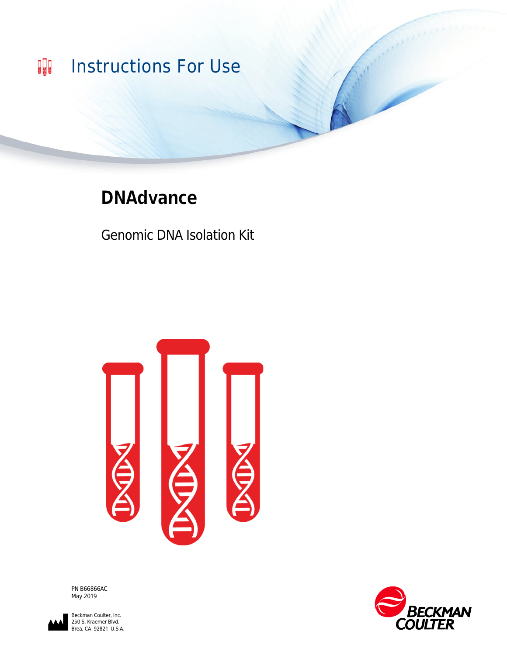

# **DNAdvance**

Genomic DNA Isolation Kit



PN B66866AC May 2019



Beckman Coulter, Inc. 250 S. Kraemer Blvd. Brea, CA 92821 U.S.A.

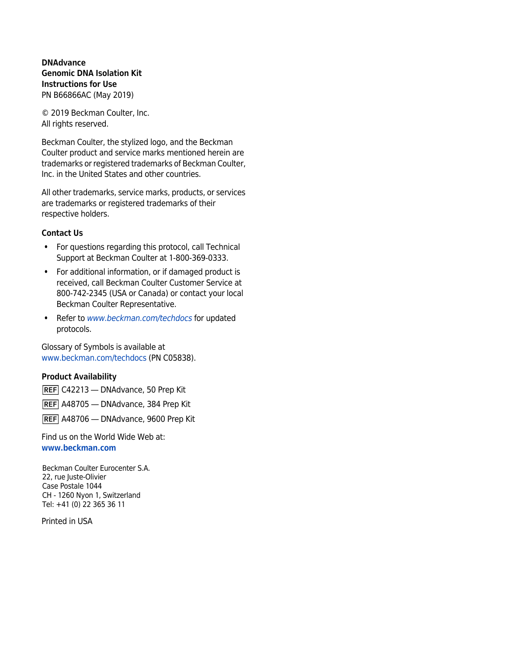**DNAdvance Genomic DNA Isolation Kit Instructions for Use** PN B66866AC (May 2019)

© 2019 Beckman Coulter, Inc. All rights reserved.

Beckman Coulter, the stylized logo, and the Beckman Coulter product and service marks mentioned herein are trademarks or registered trademarks of Beckman Coulter, Inc. in the United States and other countries.

All other trademarks, service marks, products, or services are trademarks or registered trademarks of their respective holders.

#### **Contact Us**

- **•** For questions regarding this protocol, call Technical Support at Beckman Coulter at 1-800-369-0333.
- **•** For additional information, or if damaged product is received, call Beckman Coulter Customer Service at 800-742-2345 (USA or Canada) or contact your local Beckman Coulter Representative.
- **•** Refer to *[www.beckman.com/techdocs](http://www.beckman.com/techdocs)* for updated protocols.

Glossary of Symbols is available at [www.beckman.com/techdocs](http://www.beckman.com/techdocs) (PN C05838).

#### **Product Availability**

REF C42213 - DNAdvance, 50 Prep Kit

REF A48705 - DNAdvance, 384 Prep Kit

REF A48706 - DNAdvance, 9600 Prep Kit

Find us on the World Wide Web at: **[www.beckman.com](http://www.beckman.com)**

Beckman Coulter Eurocenter S.A. 22, rue Juste-Olivier Case Postale 1044 CH - 1260 Nyon 1, Switzerland Tel: +41 (0) 22 365 36 11

Printed in USA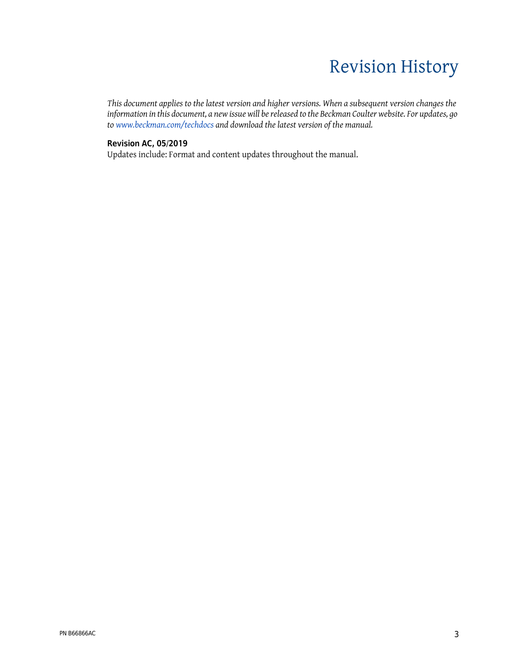# Revision History

*This document applies to the latest version and higher versions. When a subsequent version changes the information in this document, a new issue will be released to the Beckman Coulter website. For updates, go to [www.beckman.com/techdocs](http://www.beckman.com/techdocs) and download the latest version of the manual.*

#### **Revision AC, 05/2019**

Updates include: Format and content updates throughout the manual.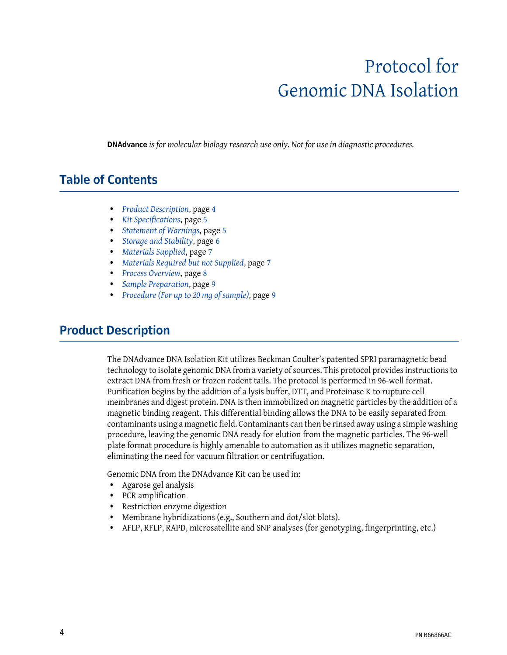# Protocol for Genomic DNA Isolation

**DNAdvance** *is for molecular biology research use only. Not for use in diagnostic procedures.*

#### **Table of Contents**

- **•** *[Product Description](#page-3-0)*, page [4](#page-3-0)
- **•** *[Kit Specifications](#page-4-0)*, page [5](#page-4-0)
- **•** *[Statement of Warnings](#page-4-1)*, page [5](#page-4-1)
- **•** *[Storage and Stability](#page-5-0)*, page [6](#page-5-0)
- **•** *[Materials Supplied](#page-6-0)*, page [7](#page-6-0)
- **•** *[Materials Required but not Supplied](#page-6-1)*, page [7](#page-6-1)
- **•** *[Process Overview](#page-7-0)*, page [8](#page-7-0)
- **•** *[Sample Preparation](#page-8-1)*, page [9](#page-8-1)
- **•** *[Procedure \(For up to 20 mg of sample\)](#page-8-0)*, page [9](#page-8-0)

#### <span id="page-3-0"></span>**Product Description**

The DNAdvance DNA Isolation Kit utilizes Beckman Coulter's patented SPRI paramagnetic bead technology to isolate genomic DNA from a variety of sources. This protocol provides instructions to extract DNA from fresh or frozen rodent tails. The protocol is performed in 96-well format. Purification begins by the addition of a lysis buffer, DTT, and Proteinase K to rupture cell membranes and digest protein. DNA is then immobilized on magnetic particles by the addition of a magnetic binding reagent. This differential binding allows the DNA to be easily separated from contaminants using a magnetic field. Contaminants can then be rinsed away using a simple washing procedure, leaving the genomic DNA ready for elution from the magnetic particles. The 96-well plate format procedure is highly amenable to automation as it utilizes magnetic separation, eliminating the need for vacuum filtration or centrifugation.

Genomic DNA from the DNAdvance Kit can be used in:

- **•** Agarose gel analysis
- **•** PCR amplification
- **•** Restriction enzyme digestion
- **•** Membrane hybridizations (e.g., Southern and dot/slot blots).
- **•** AFLP, RFLP, RAPD, microsatellite and SNP analyses (for genotyping, fingerprinting, etc.)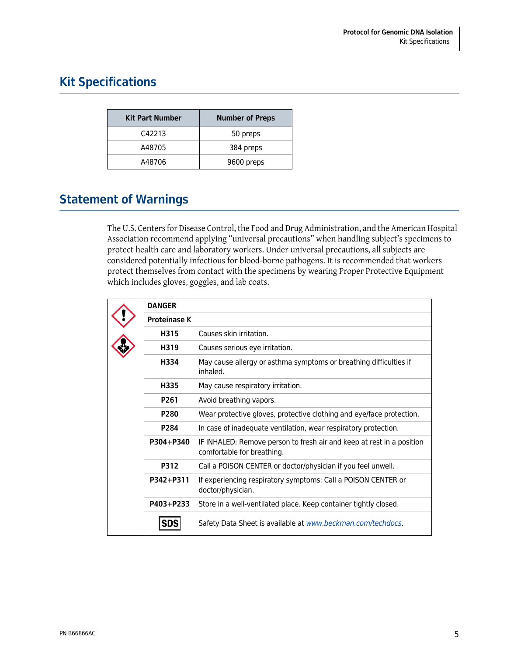## <span id="page-4-0"></span>**Kit Specifications**

| <b>Kit Part Number</b> | <b>Number of Preps</b> |
|------------------------|------------------------|
| C42213                 | 50 preps               |
| A48705                 | 384 preps              |
| A48706                 | 9600 preps             |

### <span id="page-4-1"></span>**Statement of Warnings**

The U.S. Centers for Disease Control, the Food and Drug Administration, and the American Hospital Association recommend applying "universal precautions" when handling subject's specimens to protect health care and laboratory workers. Under universal precautions, all subjects are considered potentially infectious for blood-borne pathogens. It is recommended that workers protect themselves from contact with the specimens by wearing Proper Protective Equipment which includes gloves, goggles, and lab coats.

| <b>DANGER</b>       |                                                                                                     |
|---------------------|-----------------------------------------------------------------------------------------------------|
| <b>Proteinase K</b> |                                                                                                     |
| H315                | Causes skin irritation.                                                                             |
| H319                | Causes serious eye irritation.                                                                      |
| H334                | May cause allergy or asthma symptoms or breathing difficulties if<br>inhaled.                       |
| H335                | May cause respiratory irritation.                                                                   |
| P <sub>261</sub>    | Avoid breathing vapors.                                                                             |
| P <sub>280</sub>    | Wear protective gloves, protective clothing and eye/face protection.                                |
| P284                | In case of inadequate ventilation, wear respiratory protection.                                     |
| P304+P340           | IF INHALED: Remove person to fresh air and keep at rest in a position<br>comfortable for breathing. |
| <b>P312</b>         | Call a POISON CENTER or doctor/physician if you feel unwell.                                        |
| P342+P311           | If experiencing respiratory symptoms: Call a POISON CENTER or<br>doctor/physician.                  |
| P403+P233           | Store in a well-ventilated place. Keep container tightly closed.                                    |
|                     | Safety Data Sheet is available at www.beckman.com/techdocs.                                         |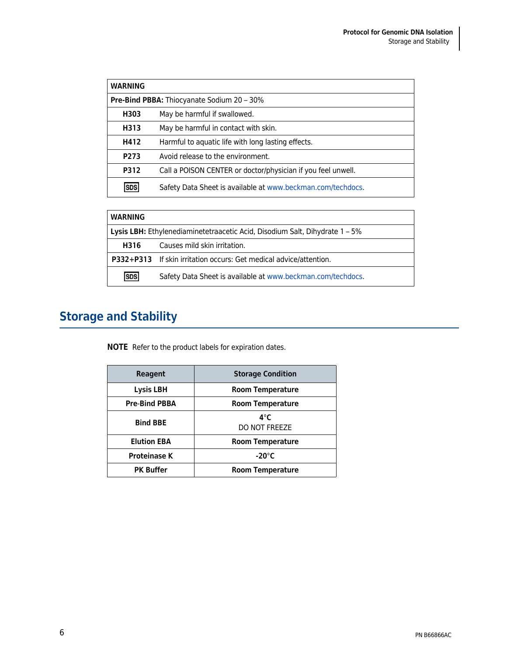| <b>WARNING</b>                                    |                                                              |  |
|---------------------------------------------------|--------------------------------------------------------------|--|
| <b>Pre-Bind PBBA:</b> Thiocyanate Sodium 20 - 30% |                                                              |  |
| H303                                              | May be harmful if swallowed.                                 |  |
| H313                                              | May be harmful in contact with skin.                         |  |
| H412                                              | Harmful to aquatic life with long lasting effects.           |  |
| P <sub>273</sub>                                  | Avoid release to the environment.                            |  |
| P312                                              | Call a POISON CENTER or doctor/physician if you feel unwell. |  |
| ISDS                                              | Safety Data Sheet is available at www.beckman.com/techdocs.  |  |

| <b>WARNING</b>                                                              |                                                                    |  |
|-----------------------------------------------------------------------------|--------------------------------------------------------------------|--|
| Lysis LBH: Ethylenediaminetetraacetic Acid, Disodium Salt, Dihydrate 1 - 5% |                                                                    |  |
| H316                                                                        | Causes mild skin irritation.                                       |  |
|                                                                             | P332+P313 If skin irritation occurs: Get medical advice/attention. |  |
| <b>SDS</b>                                                                  | Safety Data Sheet is available at www.beckman.com/techdocs.        |  |

# <span id="page-5-0"></span>**Storage and Stability**

**NOTE** Refer to the product labels for expiration dates.

| Reagent              | <b>Storage Condition</b>     |
|----------------------|------------------------------|
| <b>Lysis LBH</b>     | <b>Room Temperature</b>      |
| <b>Pre-Bind PBBA</b> | <b>Room Temperature</b>      |
| <b>Bind BBE</b>      | $4^\circ C$<br>DO NOT FREEZE |
| <b>Elution EBA</b>   | <b>Room Temperature</b>      |
| <b>Proteinase K</b>  | $-20^{\circ}$ C              |
| <b>PK Buffer</b>     | <b>Room Temperature</b>      |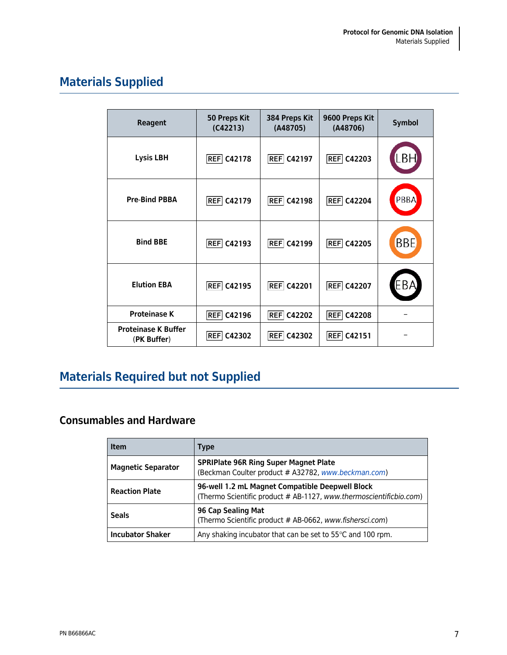# <span id="page-6-0"></span>**Materials Supplied**

| <b>Reagent</b>                            | 50 Preps Kit<br>(C42213) | 384 Preps Kit<br>(A48705) | 9600 Preps Kit<br>(A48706) | <b>Symbol</b> |
|-------------------------------------------|--------------------------|---------------------------|----------------------------|---------------|
| <b>Lysis LBH</b>                          | <b>REF</b> C42178        | <b>REF</b> C42197         | <b>REF</b> C42203          |               |
| <b>Pre-Bind PBBA</b>                      | <b>REF</b> C42179        | <b>REF</b> C42198         | <b>REF</b> C42204          | PBBA          |
| <b>Bind BBE</b>                           | <b>REF</b> C42193        | <b>REF</b> C42199         | <b>REF</b> C42205          | <b>BBE</b>    |
| <b>Elution EBA</b>                        | <b>REF</b> C42195        | <b>REF</b> C42201         | <b>REF</b> C42207          | EB/           |
| <b>Proteinase K</b>                       | <b>REF</b><br>C42196     | <b>REF</b><br>C42202      | <b>REF</b><br>C42208       |               |
| <b>Proteinase K Buffer</b><br>(PK Buffer) | <b>REF C42302</b>        | <b>REF</b> C42302         | <b>REF</b> C42151          |               |

# <span id="page-6-1"></span>**Materials Required but not Supplied**

#### **Consumables and Hardware**

| <b>Item</b>               | <b>Type</b>                                                                                                           |
|---------------------------|-----------------------------------------------------------------------------------------------------------------------|
| <b>Magnetic Separator</b> | <b>SPRIPlate 96R Ring Super Magnet Plate</b><br>(Beckman Coulter product # A32782, www.beckman.com)                   |
| <b>Reaction Plate</b>     | 96-well 1.2 mL Magnet Compatible Deepwell Block<br>(Thermo Scientific product # AB-1127, www.thermoscientificbio.com) |
| <b>Seals</b>              | 96 Cap Sealing Mat<br>(Thermo Scientific product # AB-0662, www.fishersci.com)                                        |
| <b>Incubator Shaker</b>   | Any shaking incubator that can be set to 55°C and 100 rpm.                                                            |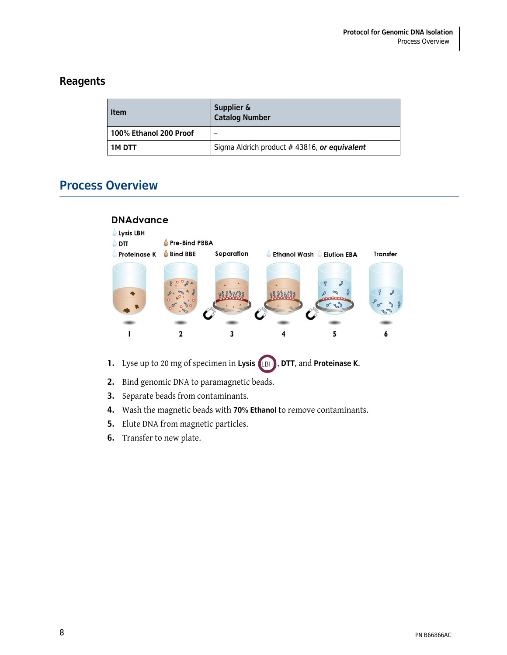#### **Reagents**

| <b>Item</b>              | Supplier &<br>Catalog Number                |
|--------------------------|---------------------------------------------|
| l 100% Ethanol 200 Proof |                                             |
| 1M DTT                   | Sigma Aldrich product #43816, or equivalent |

### <span id="page-7-0"></span>**Process Overview**



- **1.** Lyse up to 20 mg of specimen in Lysis (LBH), DTT, and Proteinase K.
- **2.** Bind genomic DNA to paramagnetic beads.
- **3.** Separate beads from contaminants.
- **4.** Wash the magnetic beads with **70% Ethanol** to remove contaminants.
- **5.** Elute DNA from magnetic particles.
- **6.** Transfer to new plate.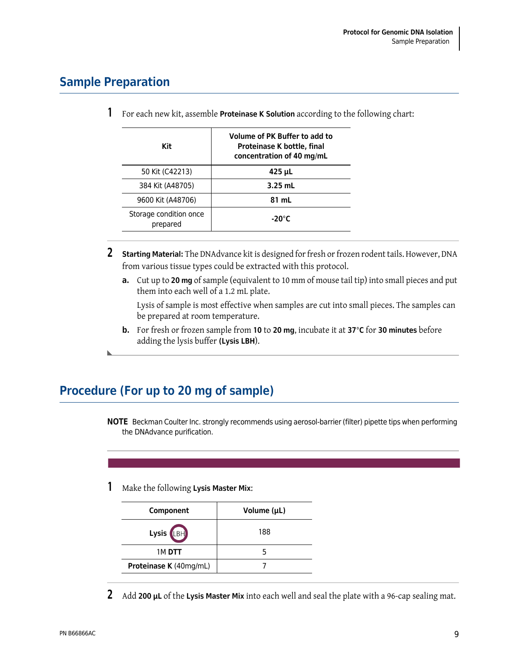### <span id="page-8-1"></span>**Sample Preparation**

**1** For each new kit, assemble **Proteinase K Solution** according to the following chart:

| Kit                                | Volume of PK Buffer to add to<br>Proteinase K bottle, final<br>concentration of 40 mg/mL |
|------------------------------------|------------------------------------------------------------------------------------------|
| 50 Kit (C42213)                    | 425 µL                                                                                   |
| 384 Kit (A48705)                   | $3.25$ mL                                                                                |
| 9600 Kit (A48706)                  | 81 mL                                                                                    |
| Storage condition once<br>prepared | $-20^{\circ}$ C                                                                          |

- **2 Starting Material:** The DNAdvance kit is designed for fresh or frozen rodent tails. However, DNA from various tissue types could be extracted with this protocol.
	- **a.** Cut up to **20 mg** of sample (equivalent to 10 mm of mouse tail tip) into small pieces and put them into each well of a 1.2 mL plate.

Lysis of sample is most effective when samples are cut into small pieces. The samples can be prepared at room temperature.

**b.** For fresh or frozen sample from **10** to **20 mg**, incubate it at **37°C** for **30 minutes** before adding the lysis buffer **(Lysis LBH**).

### <span id="page-8-0"></span>**Procedure (For up to 20 mg of sample)**

**NOTE** Beckman Coulter Inc. strongly recommends using aerosol-barrier (filter) pipette tips when performing the DNAdvance purification.

**1** Make the following **Lysis Master Mix**:

| Component              | Volume (µL) |
|------------------------|-------------|
| Lysis (LBH)            | 188         |
| 1M DTT                 |             |
| Proteinase K (40mg/mL) |             |
|                        |             |

**2** Add **200 μL** of the **Lysis Master Mix** into each well and seal the plate with a 96-cap sealing mat.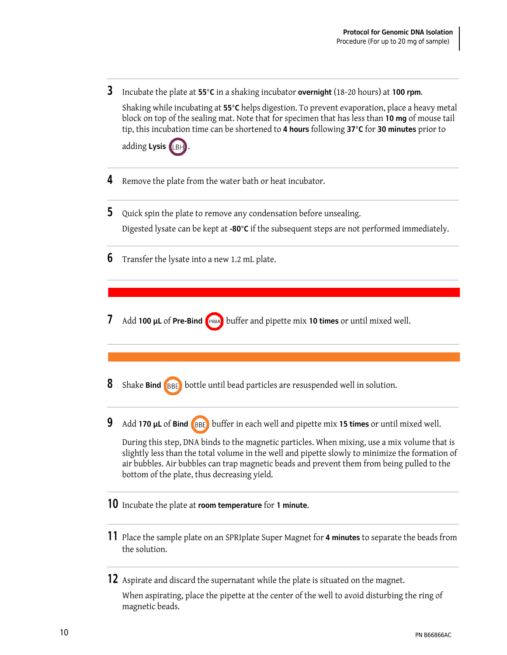**3** Incubate the plate at **55°C** in a shaking incubator **overnight** (18-20 hours) at **100 rpm**.

Shaking while incubating at **55°C** helps digestion. To prevent evaporation, place a heavy metal block on top of the sealing mat. Note that for specimen that has less than **10 mg** of mouse tail tip, this incubation time can be shortened to **4 hours** following **37°C** for **30 minutes** prior to

adding Lysis<sup>(LBH)</sup>

- **4** Remove the plate from the water bath or heat incubator.
- **5** Quick spin the plate to remove any condensation before unsealing. Digested lysate can be kept at **-80°C** if the subsequent steps are not performed immediately.
- **6** Transfer the lysate into a new 1.2 mL plate.
- **7** Add **100 μL** of **Pre-Bind** buffer and pipette mix **10 times** or until mixed well.
- **8** Shake **Bind BBE** bottle until bead particles are resuspended well in solution.
- **9** Add **170 μL** of **Bind** buffer in each well and pipette mix **15 times** or until mixed well.

During this step, DNA binds to the magnetic particles. When mixing, use a mix volume that is slightly less than the total volume in the well and pipette slowly to minimize the formation of air bubbles. Air bubbles can trap magnetic beads and prevent them from being pulled to the bottom of the plate, thus decreasing yield.

- **10** Incubate the plate at **room temperature** for **1 minute**.
- **11** Place the sample plate on an SPRIplate Super Magnet for **4 minutes** to separate the beads from the solution.
- **12** Aspirate and discard the supernatant while the plate is situated on the magnet.

When aspirating, place the pipette at the center of the well to avoid disturbing the ring of magnetic beads.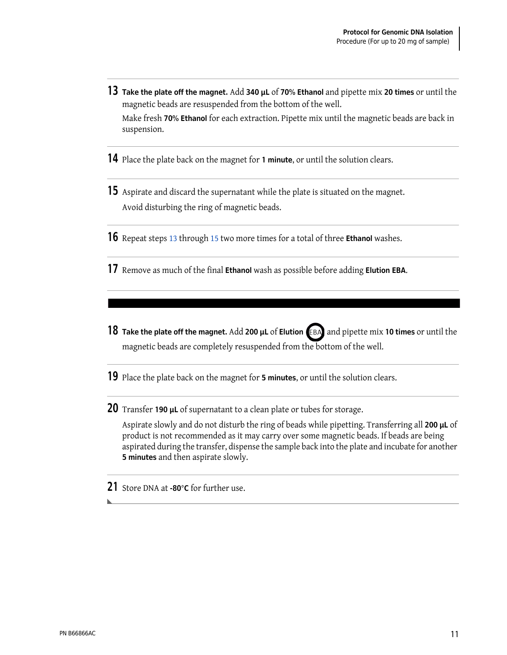- <span id="page-10-0"></span>**13 Take the plate off the magnet.** Add **340 μL** of **70% Ethanol** and pipette mix **20 times** or until the magnetic beads are resuspended from the bottom of the well. Make fresh **70% Ethanol** for each extraction. Pipette mix until the magnetic beads are back in suspension.
- **14** Place the plate back on the magnet for **1 minute**, or until the solution clears.
- <span id="page-10-1"></span>**15** Aspirate and discard the supernatant while the plate is situated on the magnet. Avoid disturbing the ring of magnetic beads.
- **16** Repeat steps [13](#page-10-0) through [15](#page-10-1) two more times for a total of three **Ethanol** washes.
- **17** Remove as much of the final **Ethanol** wash as possible before adding **Elution EBA**.
- **18 Take the plate off the magnet.** Add 200 **µL** of **Elution** (EBA) and pipette mix 10 times or until the magnetic beads are completely resuspended from the bottom of the well.
- **19** Place the plate back on the magnet for **5 minutes**, or until the solution clears.

**20** Transfer **190 μL** of supernatant to a clean plate or tubes for storage.

Aspirate slowly and do not disturb the ring of beads while pipetting. Transferring all **200 μL** of product is not recommended as it may carry over some magnetic beads. If beads are being aspirated during the transfer, dispense the sample back into the plate and incubate for another **5 minutes** and then aspirate slowly.

**21** Store DNA at **-80°C** for further use.